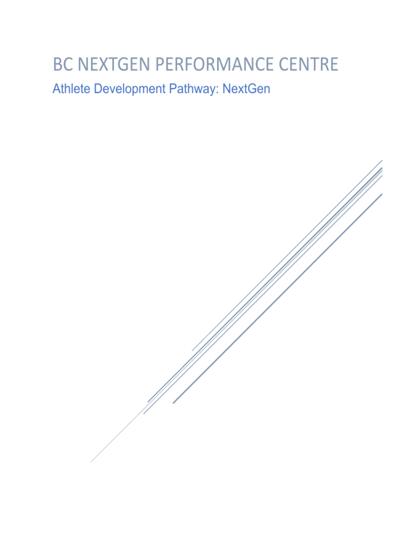# **BC NEXTGEN PERFORMANCE CENTRE**

# Athlete Development Pathway: NextGen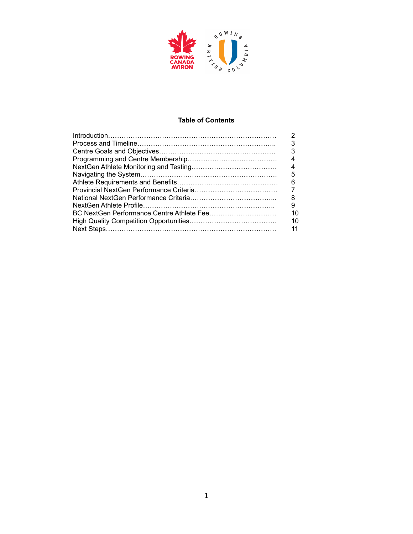

#### **Table of Contents**

| 3  |
|----|
| 3  |
| 4  |
| 4  |
| 5  |
| 6  |
|    |
| 8  |
| 9  |
| 10 |
| 10 |
| 11 |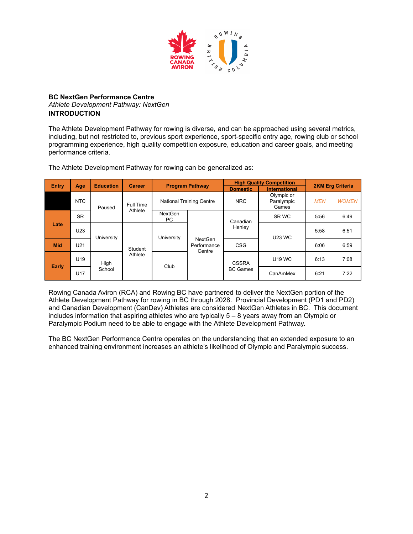

#### **BC NextGen Performance Centre** *Athlete Development Pathway: NextGen* **INTRODUCTION**

The Athlete Development Pathway for rowing is diverse, and can be approached using several metrics, including, but not restricted to, previous sport experience, sport-specific entry age, rowing club or school programming experience, high quality competition exposure, education and career goals, and meeting performance criteria.

The Athlete Development Pathway for rowing can be generalized as:

| <b>Entry</b><br><b>Education</b><br>Age |                 | <b>Career</b> | <b>Program Pathway</b> |                                 |                                         | <b>High Quality Competition</b> | <b>2KM Erg Criteria</b>           |            |              |  |              |               |      |      |
|-----------------------------------------|-----------------|---------------|------------------------|---------------------------------|-----------------------------------------|---------------------------------|-----------------------------------|------------|--------------|--|--------------|---------------|------|------|
|                                         |                 |               |                        |                                 |                                         | <b>Domestic</b>                 | <b>International</b>              |            |              |  |              |               |      |      |
|                                         | <b>NTC</b>      | Paused        | Full Time              | <b>National Training Centre</b> |                                         | <b>NRC</b>                      | Olympic or<br>Paralympic<br>Games | <b>MEN</b> | <b>WOMEN</b> |  |              |               |      |      |
|                                         | <b>SR</b>       |               | Athlete                | <b>NextGen</b><br>PC.           |                                         | Canadian                        | SR WC                             | 5:56       | 6:49         |  |              |               |      |      |
| Late                                    | U23             | University    |                        | University                      | <b>NextGen</b><br>Performance<br>Centre | Henley                          | <b>U23 WC</b>                     | 5:58       | 6:51         |  |              |               |      |      |
| <b>Mid</b>                              | U21             |               | Student                |                                 |                                         | <b>CSG</b>                      |                                   | 6:06       | 6:59         |  |              |               |      |      |
|                                         | U <sub>19</sub> | High          | Athlete                | Club                            |                                         |                                 |                                   |            |              |  | <b>CSSRA</b> | <b>U19 WC</b> | 6:13 | 7:08 |
| Early                                   | U17             | School        |                        |                                 |                                         | <b>BC Games</b>                 | CanAmMex                          | 6:21       | 7:22         |  |              |               |      |      |

Rowing Canada Aviron (RCA) and Rowing BC have partnered to deliver the NextGen portion of the Athlete Development Pathway for rowing in BC through 2028. Provincial Development (PD1 and PD2) and Canadian Development (CanDev) Athletes are considered NextGen Athletes in BC. This document includes information that aspiring athletes who are typically 5 – 8 years away from an Olympic or Paralympic Podium need to be able to engage with the Athlete Development Pathway.

The BC NextGen Performance Centre operates on the understanding that an extended exposure to an enhanced training environment increases an athlete's likelihood of Olympic and Paralympic success.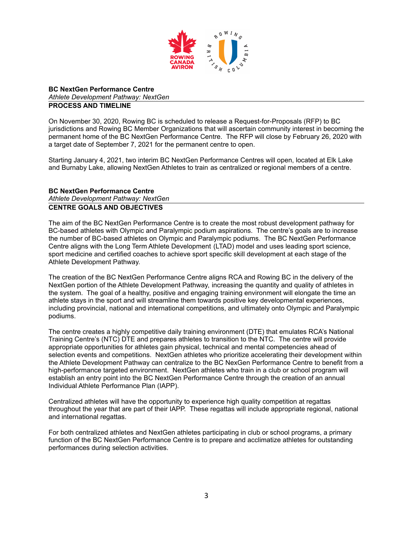

#### **BC NextGen Performance Centre** *Athlete Development Pathway: NextGen* **PROCESS AND TIMELINE**

On November 30, 2020, Rowing BC is scheduled to release a Request-for-Proposals (RFP) to BC jurisdictions and Rowing BC Member Organizations that will ascertain community interest in becoming the permanent home of the BC NextGen Performance Centre. The RFP will close by February 26, 2020 with a target date of September 7, 2021 for the permanent centre to open.

Starting January 4, 2021, two interim BC NextGen Performance Centres will open, located at Elk Lake and Burnaby Lake, allowing NextGen Athletes to train as centralized or regional members of a centre.

#### **BC NextGen Performance Centre**

*Athlete Development Pathway: NextGen*

#### **CENTRE GOALS AND OBJECTIVES**

The aim of the BC NextGen Performance Centre is to create the most robust development pathway for BC-based athletes with Olympic and Paralympic podium aspirations. The centre's goals are to increase the number of BC-based athletes on Olympic and Paralympic podiums. The BC NextGen Performance Centre aligns with the Long Term Athlete Development (LTAD) model and uses leading sport science, sport medicine and certified coaches to achieve sport specific skill development at each stage of the Athlete Development Pathway.

The creation of the BC NextGen Performance Centre aligns RCA and Rowing BC in the delivery of the NextGen portion of the Athlete Development Pathway, increasing the quantity and quality of athletes in the system. The goal of a healthy, positive and engaging training environment will elongate the time an athlete stays in the sport and will streamline them towards positive key developmental experiences, including provincial, national and international competitions, and ultimately onto Olympic and Paralympic podiums.

The centre creates a highly competitive daily training environment (DTE) that emulates RCA's National Training Centre's (NTC) DTE and prepares athletes to transition to the NTC. The centre will provide appropriate opportunities for athletes gain physical, technical and mental competencies ahead of selection events and competitions. NextGen athletes who prioritize accelerating their development within the Athlete Development Pathway can centralize to the BC NexGen Performance Centre to benefit from a high-performance targeted environment. NextGen athletes who train in a club or school program will establish an entry point into the BC NextGen Performance Centre through the creation of an annual Individual Athlete Performance Plan (IAPP).

Centralized athletes will have the opportunity to experience high quality competition at regattas throughout the year that are part of their IAPP. These regattas will include appropriate regional, national and international regattas.

For both centralized athletes and NextGen athletes participating in club or school programs, a primary function of the BC NextGen Performance Centre is to prepare and acclimatize athletes for outstanding performances during selection activities.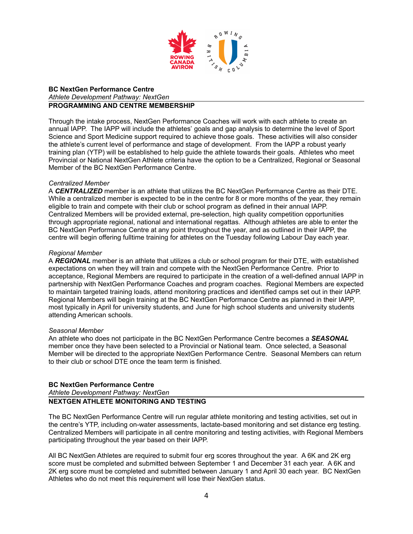

#### **BC NextGen Performance Centre** *Athlete Development Pathway: NextGen* **PROGRAMMING AND CENTRE MEMBERSHIP**

Through the intake process, NextGen Performance Coaches will work with each athlete to create an annual IAPP. The IAPP will include the athletes' goals and gap analysis to determine the level of Sport Science and Sport Medicine support required to achieve those goals. These activities will also consider the athlete's current level of performance and stage of development. From the IAPP a robust yearly training plan (YTP) will be established to help guide the athlete towards their goals. Athletes who meet Provincial or National NextGen Athlete criteria have the option to be a Centralized, Regional or Seasonal Member of the BC NextGen Performance Centre.

#### *Centralized Member*

A *CENTRALIZED* member is an athlete that utilizes the BC NextGen Performance Centre as their DTE. While a centralized member is expected to be in the centre for 8 or more months of the year, they remain eligible to train and compete with their club or school program as defined in their annual IAPP. Centralized Members will be provided external, pre-selection, high quality competition opportunities through appropriate regional, national and international regattas. Although athletes are able to enter the BC NextGen Performance Centre at any point throughout the year, and as outlined in their IAPP, the centre will begin offering fulltime training for athletes on the Tuesday following Labour Day each year.

#### *Regional Member*

A *REGIONAL* member is an athlete that utilizes a club or school program for their DTE, with established expectations on when they will train and compete with the NextGen Performance Centre. Prior to acceptance, Regional Members are required to participate in the creation of a well-defined annual IAPP in partnership with NextGen Performance Coaches and program coaches. Regional Members are expected to maintain targeted training loads, attend monitoring practices and identified camps set out in their IAPP. Regional Members will begin training at the BC NextGen Performance Centre as planned in their IAPP, most typically in April for university students, and June for high school students and university students attending American schools.

#### *Seasonal Member*

An athlete who does not participate in the BC NextGen Performance Centre becomes a *SEASONAL* member once they have been selected to a Provincial or National team. Once selected, a Seasonal Member will be directed to the appropriate NextGen Performance Centre. Seasonal Members can return to their club or school DTE once the team term is finished.

#### **BC NextGen Performance Centre**

#### *Athlete Development Pathway: NextGen* **NEXTGEN ATHLETE MONITORING AND TESTING**

The BC NextGen Performance Centre will run regular athlete monitoring and testing activities, set out in the centre's YTP, including on-water assessments, lactate-based monitoring and set distance erg testing. Centralized Members will participate in all centre monitoring and testing activities, with Regional Members participating throughout the year based on their IAPP.

All BC NextGen Athletes are required to submit four erg scores throughout the year. A 6K and 2K erg score must be completed and submitted between September 1 and December 31 each year. A 6K and 2K erg score must be completed and submitted between January 1 and April 30 each year. BC NextGen Athletes who do not meet this requirement will lose their NextGen status.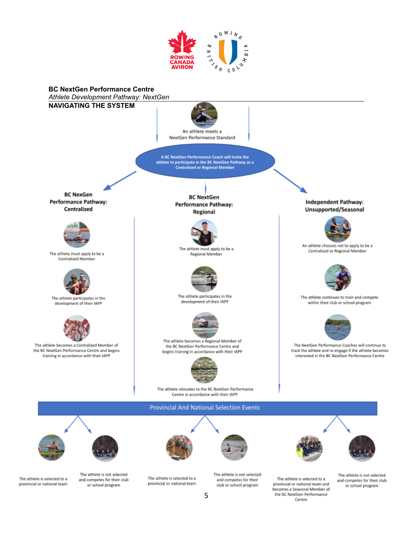



The athlete is selected to a provincial or national team

The athlete is not selected and competes for their club or school program

The athlete is selected to a provincial or national team The athlete is not selected and competes for their club or school program

The athlete is not selected and competes for their club or school program

The athlete is selected to a

provincial or national team and

becomes a Seasonal Member of

the BC NextGen Performance Centre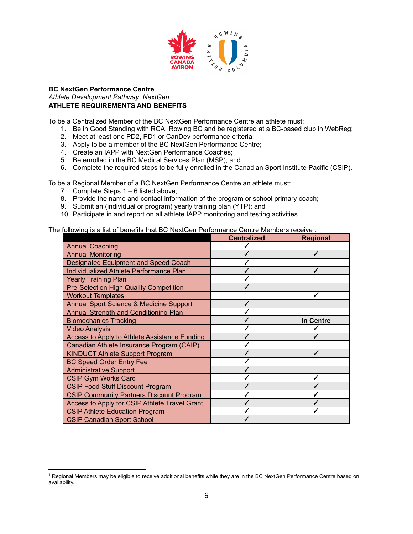

# **BC NextGen Performance Centre** *Athlete Development Pathway: NextGen*

# **ATHLETE REQUIREMENTS AND BENEFITS**

To be a Centralized Member of the BC NextGen Performance Centre an athlete must:

- 1. Be in Good Standing with RCA, Rowing BC and be registered at a BC-based club in WebReg;
- 2. Meet at least one PD2, PD1 or CanDev performance criteria;
- 3. Apply to be a member of the BC NextGen Performance Centre;
- 4. Create an IAPP with NextGen Performance Coaches;
- 5. Be enrolled in the BC Medical Services Plan (MSP); and
- 6. Complete the required steps to be fully enrolled in the Canadian Sport Institute Pacific (CSIP).

To be a Regional Member of a BC NextGen Performance Centre an athlete must:

- 7. Complete Steps 1 6 listed above;
- 8. Provide the name and contact information of the program or school primary coach;
- 9. Submit an (individual or program) yearly training plan (YTP); and
- 10. Participate in and report on all athlete IAPP monitoring and testing activities.

#### The following is a list of benefits that BC NextGen Performance Centre Members receive<sup>1</sup>:

|                                                 | <b>Centralized</b> | <b>Regional</b> |
|-------------------------------------------------|--------------------|-----------------|
| <b>Annual Coaching</b>                          |                    |                 |
| <b>Annual Monitoring</b>                        |                    | ✓               |
| Designated Equipment and Speed Coach            |                    |                 |
| Individualized Athlete Performance Plan         |                    |                 |
| <b>Yearly Training Plan</b>                     |                    |                 |
| <b>Pre-Selection High Quality Competition</b>   |                    |                 |
| <b>Workout Templates</b>                        |                    |                 |
| Annual Sport Science & Medicine Support         |                    |                 |
| <b>Annual Strength and Conditioning Plan</b>    |                    |                 |
| <b>Biomechanics Tracking</b>                    |                    | In Centre       |
| <b>Video Analysis</b>                           |                    |                 |
| Access to Apply to Athlete Assistance Funding   |                    |                 |
| Canadian Athlete Insurance Program (CAIP)       |                    |                 |
| <b>KINDUCT Athlete Support Program</b>          |                    |                 |
| <b>BC Speed Order Entry Fee</b>                 |                    |                 |
| <b>Administrative Support</b>                   |                    |                 |
| <b>CSIP Gym Works Card</b>                      |                    |                 |
| <b>CSIP Food Stuff Discount Program</b>         |                    |                 |
| <b>CSIP Community Partners Discount Program</b> |                    |                 |
| Access to Apply for CSIP Athlete Travel Grant   |                    |                 |
| <b>CSIP Athlete Education Program</b>           |                    |                 |
| <b>CSIP Canadian Sport School</b>               |                    |                 |

<sup>1</sup> Regional Members may be eligible to receive additional benefits while they are in the BC NextGen Performance Centre based on availability.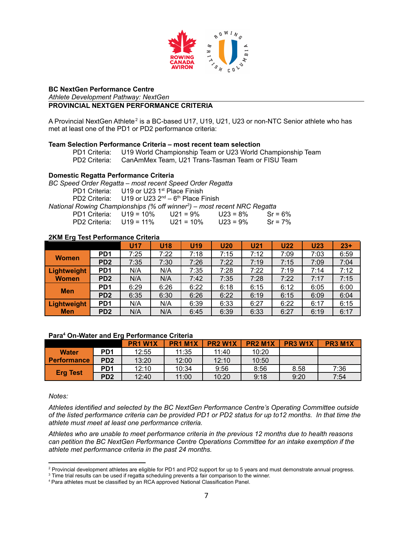

#### **BC NextGen Performance Centre**

*Athlete Development Pathway: NextGen*

## **PROVINCIAL NEXTGEN PERFORMANCE CRITERIA**

A Provincial NextGen Athlete<sup>2</sup> is a BC-based U17, U19, U21, U23 or non-NTC Senior athlete who has met at least one of the PD1 or PD2 performance criteria:

#### **Team Selection Performance Criteria – most recent team selection**

PD1 Criteria: U19 World Championship Team or U23 World Championship Team PD2 Criteria: CanAmMex Team, U21 Trans-Tasman Team or FISU Team

#### **Domestic Regatta Performance Criteria**

*BC Speed Order Regatta – most recent Speed Order Regatta* PD1 Criteria: U19 or U23 1<sup>st</sup> Place Finish PD2 Criteria: U19 or U23  $2^{nd} - 6^{th}$  Place Finish *National Rowing Championships (% off winner 3 ) – most recent NRC Regatta* PD1 Criteria: U19 = 10% U21 = 9% U23 = 8% Sr = 6% PD2 Criteria: U19 = 11% U21 = 10% U23 = 9% Sr = 7%

#### **2KM Erg Test Performance Criteria**

|              |                 | <b>U17</b> | <b>U18</b> | <b>U19</b> | <b>U20</b> | <b>U21</b> | <b>U22</b> | <b>U23</b> | $23+$ |
|--------------|-----------------|------------|------------|------------|------------|------------|------------|------------|-------|
| <b>Women</b> | PD <sub>1</sub> | 7:25       | 7:22       | 7:18       | 7:15       | 7:12       | 7:09       | 7:03       | 6:59  |
|              | PD <sub>2</sub> | 7:35       | 7:30       | 7:26       | 7:22       | 7:19       | 7:15       | 7:09       | 7:04  |
| Lightweight  | PD <sub>1</sub> | N/A        | N/A        | 7:35       | 7:28       | 7:22       | 7:19       | 7:14       | 7:12  |
| <b>Women</b> | PD <sub>2</sub> | N/A        | N/A        | 7:42       | 7:35       | 7:28       | 7:22       | 7:17       | 7:15  |
|              | PD <sub>1</sub> | 6:29       | 6:26       | 6:22       | 6:18       | 6:15       | 6:12       | 6:05       | 6:00  |
| <b>Men</b>   | PD <sub>2</sub> | 6:35       | 6:30       | 6:26       | 6:22       | 6:19       | 6:15       | 6:09       | 6:04  |
| Lightweight  | PD <sub>1</sub> | N/A        | N/A        | 6:39       | 6:33       | 6:27       | 6:22       | 6:17       | 6:15  |
| <b>Men</b>   | PD <sub>2</sub> | N/A        | N/A        | 6:45       | 6:39       | 6:33       | 6:27       | 6:19       | 6:17  |

#### **Para <sup>4</sup> On-Water and Erg Performance Criteria**

|                    |                 | PR1 W1X | PR <sub>1</sub> M <sub>1</sub> X | <b>PR2 W1X</b> | <b>PR2 M1X</b> | <b>PR3 W1X</b> | <b>PR3 M1X</b> |
|--------------------|-----------------|---------|----------------------------------|----------------|----------------|----------------|----------------|
| <b>Water</b>       | PD <sub>1</sub> | 12:55   | 11:35                            | 11:40          | 10:20          |                |                |
| <b>Performance</b> | PD <sub>2</sub> | 13:20   | 12:00                            | 12:10          | 10:50          |                |                |
|                    | PD <sub>1</sub> | 12:10   | 10:34                            | 9:56           | 8:56           | 8.58           | 7:36           |
| <b>Erg Test</b>    | PD <sub>2</sub> | 12:40   | 11:00                            | 10:20          | 9:18           | 9:20           | 7:54           |

*Notes:*

*Athletes identified and selected by the BC NextGen Performance Centre's Operating Committee outside* of the listed performance criteria can be provided PD1 or PD2 status for up to12 months. In that time the *athlete must meet at least one performance criteria.*

*Athletes who are unable to meet performance criteria in the previous 12 months due to health reasons can petition the BC NextGen Performance Centre Operations Committee for an intake exemption if the athlete met performance criteria in the past 24 months.*

<sup>&</sup>lt;sup>2</sup> Provincial development athletes are eligible for PD1 and PD2 support for up to 5 years and must demonstrate annual progress.

<sup>&</sup>lt;sup>3</sup> Time trial results can be used if regatta scheduling prevents a fair comparison to the winner.

<sup>4</sup> Para athletes must be classified by an RCA approved National Classification Panel.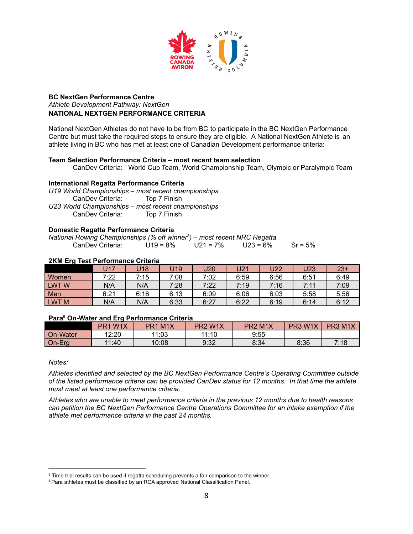

#### **BC NextGen Performance Centre**

*Athlete Development Pathway: NextGen*

#### **NATIONAL NEXTGEN PERFORMANCE CRITERIA**

National NextGen Athletes do not have to be from BC to participate in the BC NextGen Performance Centre but must take the required steps to ensure they are eligible. A National NextGen Athlete is an athlete living in BC who has met at least one of Canadian Development performance criteria:

#### **Team Selection Performance Criteria – most recent team selection**

CanDev Criteria: World Cup Team, World Championship Team, Olympic or Paralympic Team

#### **International Regatta Performance Criteria**

*U19 World Championships – most recent championships* CanDev Criteria: Top 7 Finish *U23 World Championships – most recent championships* CanDev Criteria: Top 7 Finish

#### **Domestic Regatta Performance Criteria**

| National Rowing Championships (% off winner <sup>5</sup> ) – most recent NRC Regatta |             |             |             |            |
|--------------------------------------------------------------------------------------|-------------|-------------|-------------|------------|
| CanDev Criteria:                                                                     | $U19 = 8\%$ | $U21 = 7\%$ | $U23 = 6\%$ | $Sr = 5\%$ |

#### **2KM Erg Test Performance Criteria**

|                  | U17  | U18  | J19  | J20  | U21  | U22  | U23  | $23+$ |
|------------------|------|------|------|------|------|------|------|-------|
| <b>Women</b>     | 7:22 | 7:15 | 7:08 | 7:02 | 6:59 | 6:56 | 6:51 | 6:49  |
| LWTW             | N/A  | N/A  | 7:28 | 7:22 | 7:19 | 7:16 | 7:11 | 7:09  |
| Men              | 6:21 | 6:16 | 6:13 | 6:09 | 6:06 | 6:03 | 5:58 | 5:56  |
| LWT <sub>M</sub> | N/A  | N/A  | 6:33 | 6:27 | 6:22 | 6:19 | 6:14 | 6:12  |

#### **Para <sup>6</sup> On-Water and Erg Performance Criteria**

|          | PR <sub>1</sub> W <sub>1</sub> X | M1X<br>PR <sub>1</sub> | PR <sub>2</sub> W <sub>1</sub> X | PR <sub>2</sub> M <sub>1</sub> X | W <sub>1X</sub><br>PR <sub>3</sub> | PR3 M1X |
|----------|----------------------------------|------------------------|----------------------------------|----------------------------------|------------------------------------|---------|
| On-Water | 12:20                            | 11:03                  | 11:10                            | 9:55                             |                                    |         |
| On-Erg   | 11:40                            | 10:08                  | 9:32                             | 8:34                             | 8:36                               | 7:18    |

#### *Notes:*

*Athletes identified and selected by the BC NextGen Performance Centre's Operating Committee outside* of the listed performance criteria can be provided CanDev status for 12 months. In that time the athlete *must meet at least one performance criteria.*

*Athletes who are unable to meet performance criteria in the previous 12 months due to health reasons can petition the BC NextGen Performance Centre Operations Committee for an intake exemption if the athlete met performance criteria in the past 24 months.*

<sup>&</sup>lt;sup>5</sup> Time trial results can be used if regatta scheduling prevents a fair comparison to the winner.

<sup>&</sup>lt;sup>6</sup> Para athletes must be classified by an RCA approved National Classification Panel.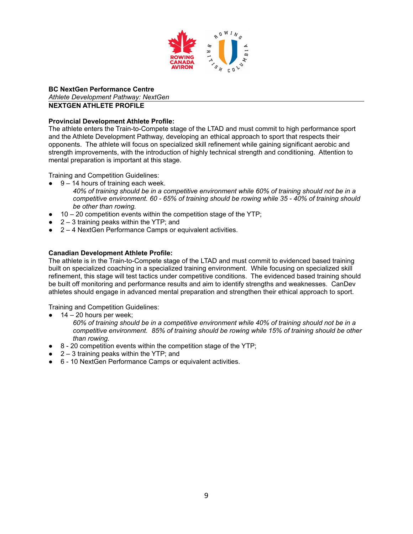

**BC NextGen Performance Centre** *Athlete Development Pathway: NextGen*

# **NEXTGEN ATHLETE PROFILE**

#### **Provincial Development Athlete Profile:**

The athlete enters the Train-to-Compete stage of the LTAD and must commit to high performance sport and the Athlete Development Pathway, developing an ethical approach to sport that respects their opponents. The athlete will focus on specialized skill refinement while gaining significant aerobic and strength improvements, with the introduction of highly technical strength and conditioning. Attention to mental preparation is important at this stage.

Training and Competition Guidelines:

- $9 14$  hours of training each week. *40% of training should be in a competitive environment while 60% of training should not be in a competitive environment. 60 - 65% of training should be rowing while 35 - 40% of training should be other than rowing.*
- $10 20$  competition events within the competition stage of the YTP;
- $2 3$  training peaks within the YTP; and
- 2 4 NextGen Performance Camps or equivalent activities.

#### **Canadian Development Athlete Profile:**

The athlete is in the Train-to-Compete stage of the LTAD and must commit to evidenced based training built on specialized coaching in a specialized training environment. While focusing on specialized skill refinement, this stage will test tactics under competitive conditions. The evidenced based training should be built off monitoring and performance results and aim to identify strengths and weaknesses. CanDev athletes should engage in advanced mental preparation and strengthen their ethical approach to sport.

Training and Competition Guidelines:

- $14 20$  hours per week;
	- *60% of training should be in a competitive environment while 40% of training should not be in a competitive environment. 85% of training should be rowing while 15% of training should be other than rowing.*
- 8 20 competition events within the competition stage of the YTP;
- $\bullet$  2 3 training peaks within the YTP; and
- 6 10 NextGen Performance Camps or equivalent activities.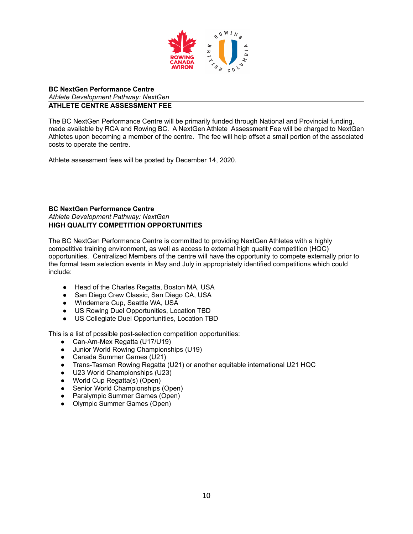

#### **BC NextGen Performance Centre** *Athlete Development Pathway: NextGen* **ATHLETE CENTRE ASSESSMENT FEE**

The BC NextGen Performance Centre will be primarily funded through National and Provincial funding, made available by RCA and Rowing BC. A NextGen Athlete Assessment Fee will be charged to NextGen Athletes upon becoming a member of the centre. The fee will help offset a small portion of the associated costs to operate the centre.

Athlete assessment fees will be posted by December 14, 2020.

#### **BC NextGen Performance Centre** *Athlete Development Pathway: NextGen* **HIGH QUALITY COMPETITION OPPORTUNITIES**

The BC NextGen Performance Centre is committed to providing NextGen Athletes with a highly competitive training environment, as well as access to external high quality competition (HQC) opportunities. Centralized Members of the centre will have the opportunity to compete externally prior to the formal team selection events in May and July in appropriately identified competitions which could include:

- Head of the Charles Regatta, Boston MA, USA<br>● San Diego Crew Classic, San Diego CA, USA
- San Diego Crew Classic, San Diego CA, USA
- Windemere Cup, Seattle WA, USA
- US Rowing Duel Opportunities, Location TBD
- US Collegiate Duel Opportunities, Location TBD

This is a list of possible post-selection competition opportunities:

- Can-Am-Mex Regatta (U17/U19)
- Junior World Rowing Championships (U19)
- Canada Summer Games (U21)
- Trans-Tasman Rowing Regatta (U21) or another equitable international U21 HQC
- U23 World Championships (U23)
- World Cup Regatta(s) (Open)
- Senior World Championships (Open)
- Paralympic Summer Games (Open)
- Olympic Summer Games (Open)